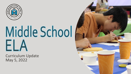

# Middle School ELA

Curriculum Update May 5, 2022

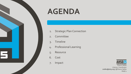

# **AGENDA**

- 1. Strategic Plan Connection
- 2. Committee
- 3. Timeline
- 4. Professional Learning
- 5. Resource
- 6. Cost
- 7. Impact



Sharon Nelles Literacy Coordinator [snelles@sd25.org](mailto:snelles@sd25.org) | @Sharon Nelles PAGE<sub>1</sub>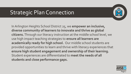## Strategic Plan Connection



In Arlington Heights School District 25, we **empower an inclusive, diverse community of learners to innovate and thrive as global citizens.** Through our literacy instruction at the middle school level, we use high impact teaching strategies to **ensure all learners are academically ready for high school.** Our middle school students are provided opportunities to learn and thrive with literacy experiences that **ensure high student engagement and ownership of their learning.**  Student experiences are differentiated to **meet the needs of all students and close performance gaps.**

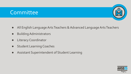#### **Committee**



- All English Language Arts Teachers & Advanced Language Arts Teachers
- **Building Administrators**
- Literacy Coordinator
- **Student Learning Coaches**
- Assistant Superintendent of Student Learning

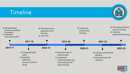#### Timeline



Page 4

ES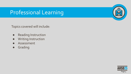#### Professional Learning

Topics covered will include:

- Reading Instruction
- Writing Instruction
- Assessment
- Grading



res l

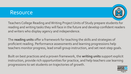#### Resource



Teachers College Reading and Writing Project Units of Study prepare students for reading and writing tasks they will face in the future and develop confident readers and writers who display agency and independence.

The **reading units** offer a framework for teaching the skills and strategies of proficient reading. Performance assessments and learning progressions help teachers monitor progress, lead small group instruction, and set next-step goals.

Built on best practices and a proven framework, the **writing units** support explicit instruction, provide rich opportunities for practice, and help teachers use learning progressions to set students on trajectories of growth.

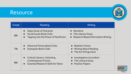#### Resource



| Grade | Reading                                                                                                                             | Writing                                                                          |
|-------|-------------------------------------------------------------------------------------------------------------------------------------|----------------------------------------------------------------------------------|
| 6th   | Deep Study of Character<br>Social Issues Book Clubs<br>$\bullet$<br>Tapping into the Power of Nonfiction<br>$\bullet$               | <b>Narrative</b><br>• The Literary Essay<br>• Research Based Information Writing |
| 7th   | <b>Historical Fiction Book Clubs</b><br><b>Dystopian Book Clubs</b><br>$\bullet$                                                    | • Realistic Fiction<br>• Writing About Reading<br>• The Art of Argument          |
| 8th   | Critical Literacy: Unlocking<br>$\bullet$<br><b>Contemporary Fiction</b><br><b>Essential Research Skills for Teens</b><br>$\bullet$ | Investigative Journalism<br>• The Literary Essay<br><b>Position Papers</b>       |

Page 7

**AHSD25**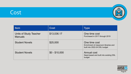### Cost



| <b>Item</b>                                     | <b>Cost</b>    | <b>Type</b>                                                                             |
|-------------------------------------------------|----------------|-----------------------------------------------------------------------------------------|
| <b>Units of Study Teacher</b><br><b>Manuals</b> | \$13,036.17    | One time cost<br>Purchased in 2017 through 2019                                         |
| <b>Student Novels</b>                           | \$25,000       | One time cost<br>Enrichment of classroom libraries and<br>built into 2022-24 DSL budget |
| <b>Student Novels</b>                           | $$0 - $10,000$ | Annual cost<br>Need-based and built into existing DSL<br>budget                         |

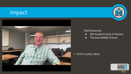#### Impact



#### Todd Slowinski

- 8th Grade ELA/ALA Teacher
- Thomas Middle School

<- (click to play video)



25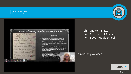#### Impact



#### Christine Fontanetta

- 6th Grade ELA Teacher
- South Middle School

#### <- (click to play video)



 $\overline{P}$